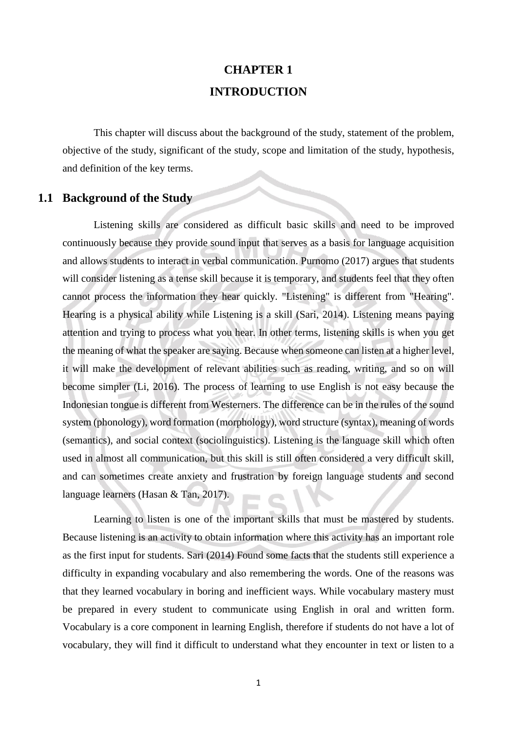# **CHAPTER 1 INTRODUCTION**

This chapter will discuss about the background of the study, statement of the problem, objective of the study, significant of the study, scope and limitation of the study, hypothesis, and definition of the key terms.

## **1.1 Background of the Study**

Listening skills are considered as difficult basic skills and need to be improved continuously because they provide sound input that serves as a basis for language acquisition and allows students to interact in verbal communication. Purnomo (2017) argues that students will consider listening as a tense skill because it is temporary, and students feel that they often cannot process the information they hear quickly. "Listening" is different from "Hearing". Hearing is a physical ability while Listening is a skill (Sari, 2014). Listening means paying attention and trying to process what you hear. In other terms, listening skills is when you get the meaning of what the speaker are saying. Because when someone can listen at a higher level, it will make the development of relevant abilities such as reading, writing, and so on will become simpler (Li, 2016). The process of learning to use English is not easy because the Indonesian tongue is different from Westerners. The difference can be in the rules of the sound system (phonology), word formation (morphology), word structure (syntax), meaning of words (semantics), and social context (sociolinguistics). Listening is the language skill which often used in almost all communication, but this skill is still often considered a very difficult skill, and can sometimes create anxiety and frustration by foreign language students and second language learners (Hasan & Tan, 2017).

Learning to listen is one of the important skills that must be mastered by students. Because listening is an activity to obtain information where this activity has an important role as the first input for students. Sari (2014) Found some facts that the students still experience a difficulty in expanding vocabulary and also remembering the words. One of the reasons was that they learned vocabulary in boring and inefficient ways. While vocabulary mastery must be prepared in every student to communicate using English in oral and written form. Vocabulary is a core component in learning English, therefore if students do not have a lot of vocabulary, they will find it difficult to understand what they encounter in text or listen to a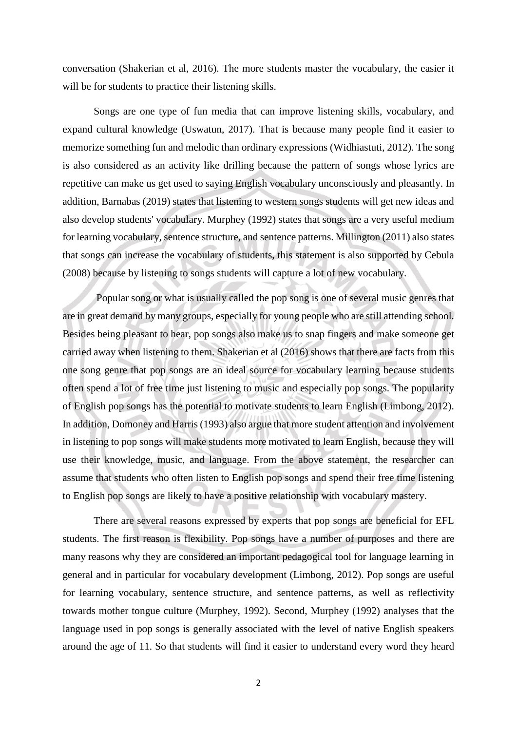conversation (Shakerian et al, 2016). The more students master the vocabulary, the easier it will be for students to practice their listening skills.

Songs are one type of fun media that can improve listening skills, vocabulary, and expand cultural knowledge (Uswatun, 2017). That is because many people find it easier to memorize something fun and melodic than ordinary expressions (Widhiastuti, 2012). The song is also considered as an activity like drilling because the pattern of songs whose lyrics are repetitive can make us get used to saying English vocabulary unconsciously and pleasantly. In addition, Barnabas (2019) states that listening to western songs students will get new ideas and also develop students' vocabulary. Murphey (1992) states that songs are a very useful medium for learning vocabulary, sentence structure, and sentence patterns. Millington (2011) also states that songs can increase the vocabulary of students, this statement is also supported by Cebula (2008) because by listening to songs students will capture a lot of new vocabulary.

Popular song or what is usually called the pop song is one of several music genres that are in great demand by many groups, especially for young people who are still attending school. Besides being pleasant to hear, pop songs also make us to snap fingers and make someone get carried away when listening to them. Shakerian et al (2016) shows that there are facts from this one song genre that pop songs are an ideal source for vocabulary learning because students often spend a lot of free time just listening to music and especially pop songs. The popularity of English pop songs has the potential to motivate students to learn English (Limbong, 2012). In addition, Domoney and Harris (1993) also argue that more student attention and involvement in listening to pop songs will make students more motivated to learn English, because they will use their knowledge, music, and language. From the above statement, the researcher can assume that students who often listen to English pop songs and spend their free time listening to English pop songs are likely to have a positive relationship with vocabulary mastery.

There are several reasons expressed by experts that pop songs are beneficial for EFL students. The first reason is flexibility. Pop songs have a number of purposes and there are many reasons why they are considered an important pedagogical tool for language learning in general and in particular for vocabulary development (Limbong, 2012). Pop songs are useful for learning vocabulary, sentence structure, and sentence patterns, as well as reflectivity towards mother tongue culture (Murphey, 1992). Second, Murphey (1992) analyses that the language used in pop songs is generally associated with the level of native English speakers around the age of 11. So that students will find it easier to understand every word they heard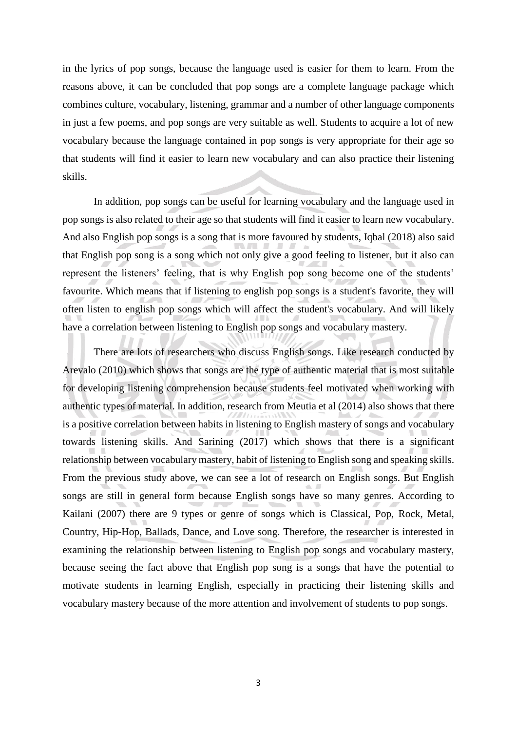in the lyrics of pop songs, because the language used is easier for them to learn. From the reasons above, it can be concluded that pop songs are a complete language package which combines culture, vocabulary, listening, grammar and a number of other language components in just a few poems, and pop songs are very suitable as well. Students to acquire a lot of new vocabulary because the language contained in pop songs is very appropriate for their age so that students will find it easier to learn new vocabulary and can also practice their listening skills.

In addition, pop songs can be useful for learning vocabulary and the language used in pop songs is also related to their age so that students will find it easier to learn new vocabulary. And also English pop songs is a song that is more favoured by students, Iqbal (2018) also said that English pop song is a song which not only give a good feeling to listener, but it also can represent the listeners' feeling, that is why English pop song become one of the students' favourite. Which means that if listening to english pop songs is a student's favorite, they will often listen to english pop songs which will affect the student's vocabulary. And will likely have a correlation between listening to English pop songs and vocabulary mastery.

There are lots of researchers who discuss English songs. Like research conducted by Arevalo (2010) which shows that songs are the type of authentic material that is most suitable for developing listening comprehension because students feel motivated when working with authentic types of material. In addition, research from Meutia et al (2014) also shows that there is a positive correlation between habits in listening to English mastery of songs and vocabulary towards listening skills. And Sarining (2017) which shows that there is a significant relationship between vocabulary mastery, habit of listening to English song and speaking skills. From the previous study above, we can see a lot of research on English songs. But English songs are still in general form because English songs have so many genres. According to Kailani (2007) there are 9 types or genre of songs which is Classical, Pop, Rock, Metal, Country, Hip-Hop, Ballads, Dance, and Love song. Therefore, the researcher is interested in examining the relationship between listening to English pop songs and vocabulary mastery, because seeing the fact above that English pop song is a songs that have the potential to motivate students in learning English, especially in practicing their listening skills and vocabulary mastery because of the more attention and involvement of students to pop songs.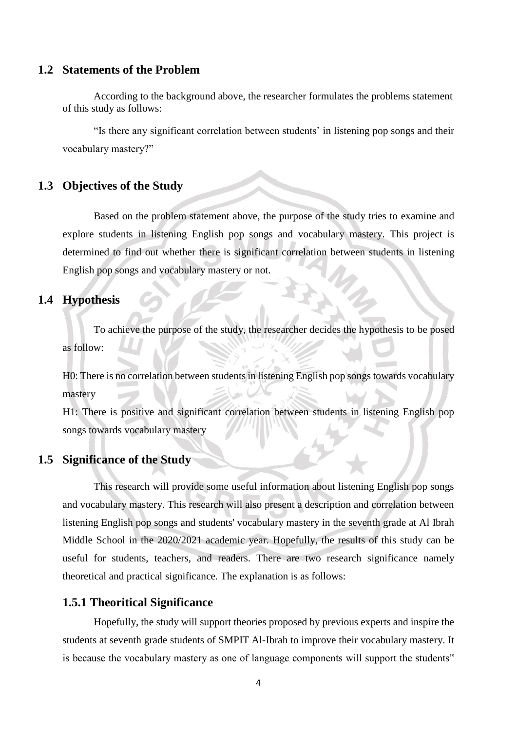#### **1.2 Statements of the Problem**

According to the background above, the researcher formulates the problems statement of this study as follows:

"Is there any significant correlation between students' in listening pop songs and their vocabulary mastery?"

## **1.3 Objectives of the Study**

Based on the problem statement above, the purpose of the study tries to examine and explore students in listening English pop songs and vocabulary mastery. This project is determined to find out whether there is significant correlation between students in listening English pop songs and vocabulary mastery or not.

# **1.4 Hypothesis**

To achieve the purpose of the study, the researcher decides the hypothesis to be posed as follow:

H0: There is no correlation between students in listening English pop songs towards vocabulary mastery

H1: There is positive and significant correlation between students in listening English pop songs towards vocabulary mastery

## **1.5 Significance of the Study**

This research will provide some useful information about listening English pop songs and vocabulary mastery. This research will also present a description and correlation between listening English pop songs and students' vocabulary mastery in the seventh grade at Al Ibrah Middle School in the 2020/2021 academic year. Hopefully, the results of this study can be useful for students, teachers, and readers. There are two research significance namely theoretical and practical significance. The explanation is as follows:

## **1.5.1 Theoritical Significance**

Hopefully, the study will support theories proposed by previous experts and inspire the students at seventh grade students of SMPIT Al-Ibrah to improve their vocabulary mastery. It is because the vocabulary mastery as one of language components will support the students"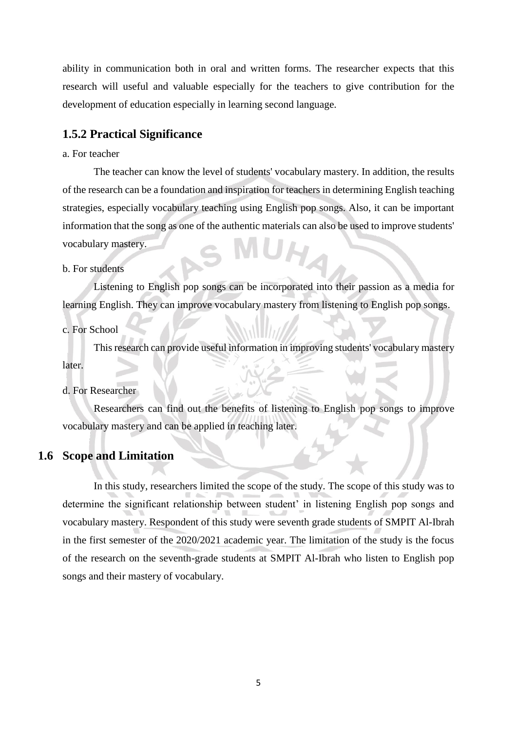ability in communication both in oral and written forms. The researcher expects that this research will useful and valuable especially for the teachers to give contribution for the development of education especially in learning second language.

### **1.5.2 Practical Significance**

#### a. For teacher

The teacher can know the level of students' vocabulary mastery. In addition, the results of the research can be a foundation and inspiration for teachers in determining English teaching strategies, especially vocabulary teaching using English pop songs. Also, it can be important information that the song as one of the authentic materials can also be used to improve students' UH vocabulary mastery.

#### b. For students

Listening to English pop songs can be incorporated into their passion as a media for learning English. They can improve vocabulary mastery from listening to English pop songs.

c. For School

This research can provide useful information in improving students' vocabulary mastery later.

#### d. For Researcher

Researchers can find out the benefits of listening to English pop songs to improve vocabulary mastery and can be applied in teaching later.

# **1.6 Scope and Limitation**

In this study, researchers limited the scope of the study. The scope of this study was to determine the significant relationship between student' in listening English pop songs and vocabulary mastery. Respondent of this study were seventh grade students of SMPIT Al-Ibrah in the first semester of the 2020/2021 academic year. The limitation of the study is the focus of the research on the seventh-grade students at SMPIT Al-Ibrah who listen to English pop songs and their mastery of vocabulary.